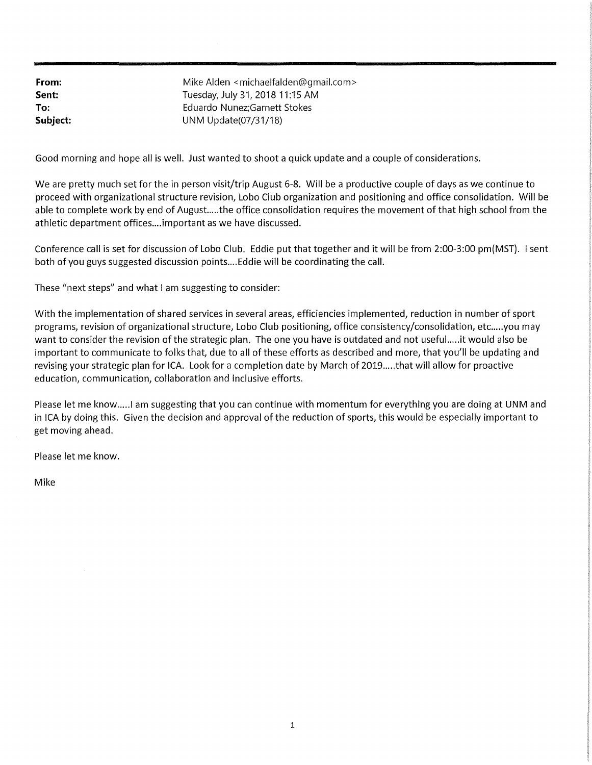**From: Sent: To: Subject:**  Mike Alden <michaelfalden@gmail.com> Tuesday, July 31, 2018 11:15 AM Eduardo Nunez;Garnett Stokes UNM Update(07 /31/18)

Good morning and hope all is well. Just wanted to shoot a quick update and a couple of considerations.

We are pretty much set for the in person visit/trip August 6-8. Will be a productive couple of days as we continue to proceed with organizational structure revision, Lobo Club organization and positioning and office consolidation. Will be able to complete work by end of August.....the office consolidation requires the movement of that high school from the athletic department offices.... important as we have discussed.

Conference call is set for discussion of Lobo Club. Eddie put that together and it will be from 2:00-3:00 pm(MST). I sent both of you guys suggested discussion points .... Eddie will be coordinating the call.

These "next steps" and what I am suggesting to consider:

With the implementation of shared services in several areas, efficiencies implemented, reduction in number of sport programs, revision of organizational structure, Lobo Club positioning, office consistency/consolidation, etc.....you may want to consider the revision of the strategic plan. The one you have is outdated and not useful. .... it would also be important to communicate to folks that, due to all of these efforts as described and more, that you'll be updating and revising your strategic plan for ICA. Look for a completion date by March of 2019 ..... that will allow for proactive education, communication, collaboration and inclusive efforts.

Please let me know..... I am suggesting that you can continue with momentum for everything you are doing at UNM and in ICA by doing this. Given the decision and approval of the reduction of sports, this would be especially important to get moving ahead.

Please let me know.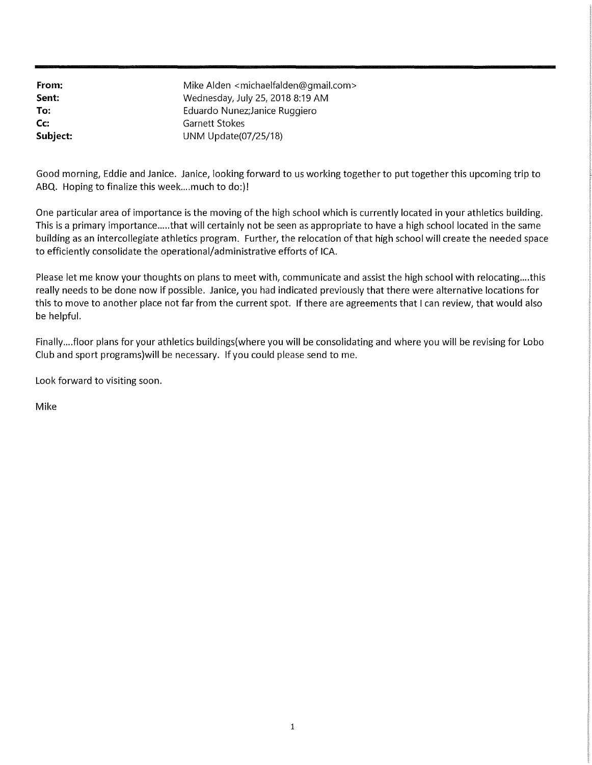**From: Sent: To: Cc: Subject:**  Mike Alden <michaelfalden@gmail.com> Wednesday, July 25, 2018 8:19 AM Eduardo Nunez;Janice Ruggiero Garnett Stokes UNM Update(07 /25/18)

Good morning, Eddie and Janice. Janice, looking forward to us working together to put together this upcoming trip to ABQ. Hoping to finalize this week....much to do:)!

One particular area of importance is the moving of the high school which is currently located in your athletics building. This is a primary importance ..... that will certainly not be seen as appropriate to have a high school located in the same building as an intercollegiate athletics program. Further, the relocation of that high school will create the needed space to efficiently consolidate the operational/administrative efforts of ICA.

Please let me know your thoughts on plans to meet with, communicate and assist the high school with relocating....this really needs to be done now if possible. Janice, you had indicated previously that there were alternative locations for this to move to another place not far from the current spot. If there are agreements that I can review, that would also be helpful.

Finally .... floor plans for your athletics buildings(where you will be consolidating and where you will be revising for Lobo Club and sport programs)will be necessary. If you could please send to me.

Look forward to visiting soon.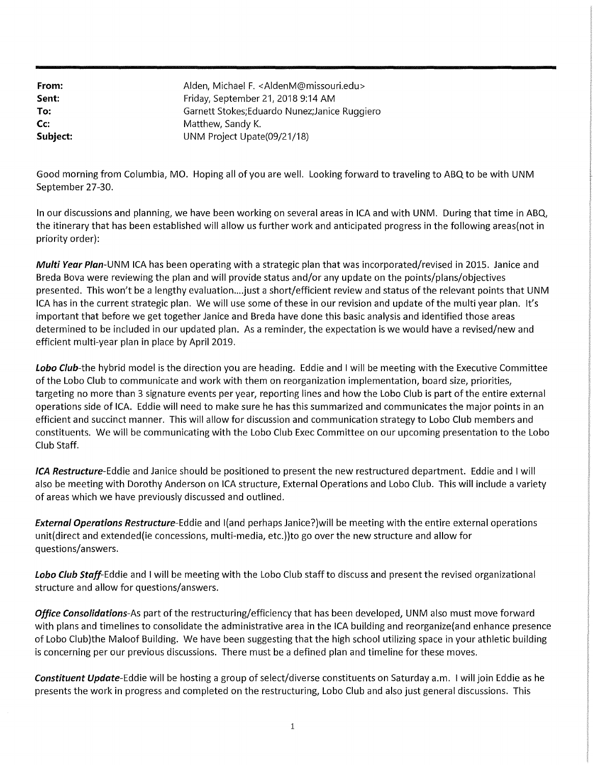| From:    | Alden, Michael F. < AldenM@missouri.edu>       |
|----------|------------------------------------------------|
| Sent:    | Friday, September 21, 2018 9:14 AM             |
| To:      | Garnett Stokes; Eduardo Nunez; Janice Ruggiero |
| Cc:      | Matthew, Sandy K.                              |
| Subject: | UNM Project Upate(09/21/18)                    |

Good morning from Columbia, MO. Hoping all of you are well. Looking forward to traveling to ABQ to be with UNM September 27-30.

In our discussions and planning, we have been working on several areas in ICA and with UNM. During that time in ABQ, the itinerary that has been established will allow us further work and anticipated progress in the following areas(not in priority order):

**Multi Year Plan-UNM** ICA has been operating with a strategic plan that was incorporated/revised in 2015. Janice and Breda Bova were reviewing the plan and will provide status and/or any update on the points/plans/objectives presented. This won't be a lengthy evaluation.... just a short/efficient review and status of the relevant points that UNM ICA has in the current strategic plan. We will use some of these in our revision and update of the multi year plan. It's important that before we get together Janice and Breda have done this basic analysis and identified those areas determined to be included in our updated plan. As a reminder, the expectation is we would have a revised/new and efficient multi-year plan in place by April 2019.

**Lobo** Club-the hybrid model is the direction you are heading. Eddie and I will be meeting with the Executive Committee of the Lobo Club to communicate and work with them on reorganization implementation, board size, priorities, targeting no more than 3 signature events per year, reporting lines and how the Lobo Club is part of the entire external operations side of ICA. Eddie will need to make sure he has this summarized and communicates the major points in an efficient and succinct manner. This will allow for discussion and communication strategy to Lobo Club members and constituents. We will be communicating with the Lobo Club Exec Committee on our upcoming presentation to the Lobo Club Staff.

**/CA Restructure-Eddie** and Janice should be positioned to present the new restructured department. Eddie and I will also be meeting with Dorothy Anderson on ICA structure, External Operations and Lobo Club. This will include a variety of areas which we have previously discussed and outlined.

**External Operations Restructure-Eddie** and l(and perhaps Janice?)will be meeting with the entire external operations unit(direct and extended(ie concessions, multi-media, etc.))to go over the new structure and allow for questions/answers.

**Lobo Club Staff-Eddie** and I will be meeting with the Lobo Club staff to discuss and present the revised organizational structure and allow for questions/answers.

**Office Consolidations-As** part of the restructuring/efficiency that has been developed, UNM also must move forward with plans and timelines to consolidate the administrative area in the ICA building and reorganize(and enhance presence of Lobo Club)the Maloof Building. We have been suggesting that the high school utilizing space in your athletic building is concerning per our previous discussions. There must be a defined plan and timeline for these moves.

**Constituent Update-Eddie** will be hosting a group of select/diverse constituents on Saturday a.m. I will join Eddie as he presents the work in progress and completed on the restructuring, Lobo Club and also just general discussions. This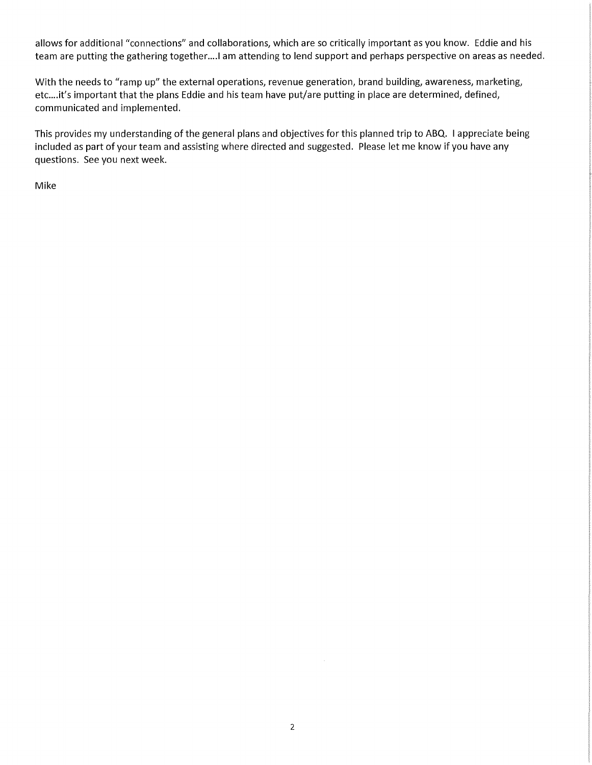allows for additional "connections" and collaborations, which are so critically important as you know. Eddie and his team are putting the gathering together.... I am attending to lend support and perhaps perspective on areas as needed.

With the needs to "ramp up" the external operations, revenue generation, brand building, awareness, marketing, etc.... it's important that the plans Eddie and his team have put/are putting in place are determined, defined, communicated and implemented.

This provides my understanding of the general plans and objectives for this planned trip to ABQ. I appreciate being included as part of your team and assisting where directed and suggested. Please let me know if you have any questions. See you next week.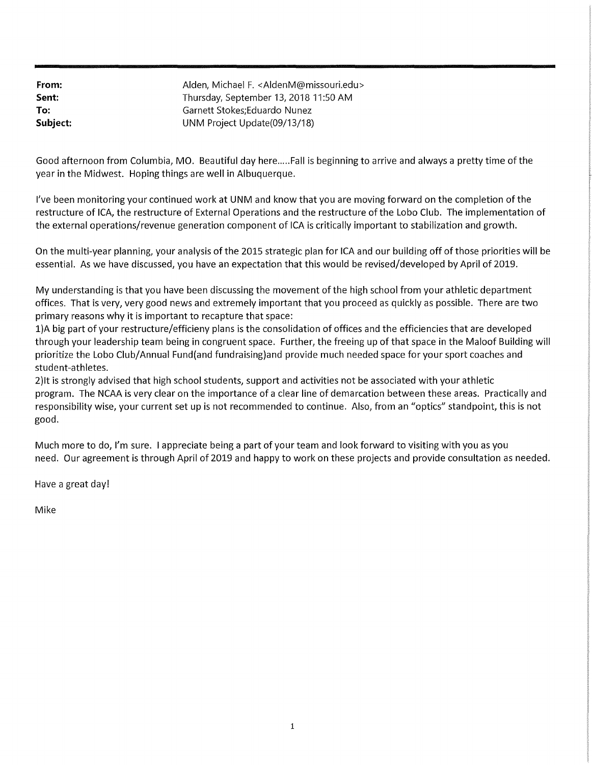| From:    | Alden, Michael F. <aldenm@missouri.edu></aldenm@missouri.edu> |
|----------|---------------------------------------------------------------|
| Sent:    | Thursday, September 13, 2018 11:50 AM                         |
| To:      | Garnett Stokes:Eduardo Nunez                                  |
| Subject: | UNM Project Update (09/13/18)                                 |

Good afternoon from Columbia, MO. Beautiful day here..... Fall is beginning to arrive and always a pretty time of the year in the Midwest. Hoping things are well in Albuquerque.

I've been monitoring your continued work at UNM and know that you are moving forward on the completion of the restructure of ICA, the restructure of External Operations and the restructure of the Lobo Club. The implementation of the external operations/revenue generation component of ICA is critically important to stabilization and growth.

On the multi-year planning, your analysis of the 2015 strategic plan for ICA and our building off of those priorities will be essential. As we have discussed, you have an expectation that this would be revised/developed by April of 2019.

My understanding is that you have been discussing the movement of the high school from your athletic department offices. That is very, very good news and extremely important that you proceed as quickly as possible. There are two primary reasons why it is important to recapture that space:

l)A big part of your restructure/efficieny plans is the consolidation of offices and the efficiencies that are developed through your leadership team being in congruent space. Further, the freeing up of that space in the Maloof Building will prioritize the Lobo Club/ Annual Fund(and fundraising)and provide much needed space for your sport coaches and student-athletes.

2)1t is strongly advised that high school students, support and activities not be associated with your athletic program. The NCAA is very clear on the importance of a clear line of demarcation between these areas. Practically and responsibility wise, your current set up is not recommended to continue. Also, from an "optics" standpoint, this is not good.

Much more to do, I'm sure. I appreciate being a part of your team and look forward to visiting with you as you need. Our agreement is through April of 2019 and happy to work on these projects and provide consultation as needed.

Have a great day!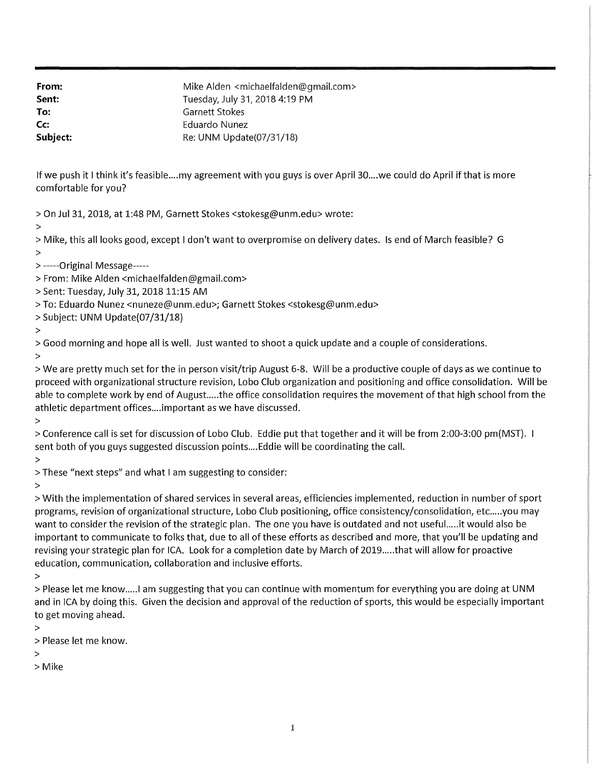**From: Sent:**  Mike Alden <michaelfalden@gmail.com> Tuesday, July 31, 2018 4:19 PM To: **Garnett Stokes Cc:** Eduardo Nunez **Subject:** Re: UNM Update(07/31/18)

If we push it I think it's feasible ... my agreement with you guys is over April 30 ... we could do April if that is more comfortable for you?

> On Jul 31, 2018, at 1:48 PM, Garnett Stokes <stokesg@unm.edu> wrote:

>

> Mike, this all looks good, except I don't want to overpromise on delivery dates. Is end of March feasible? G >

- > -----Original Message-----
- > From: Mike Alden <michaelfalden@gmail.com>
- > Sent: Tuesday, July 31, 2018 11:15 AM
- > To: Eduardo Nunez <nuneze@unm.edu>; Garnett Stokes <stokesg@unm.edu>
- > Subject: UNM Update(07 /31/18)
- >

> Good morning and hope all is well. Just wanted to shoot a quick update and a couple of considerations.

>

>Weare pretty much set for the in person visit/trip August 6-8. Will be a productive couple of days as we continue to proceed with organizational structure revision, Lobo Club organization and positioning and office consolidation. Will be able to complete work by end of August.....the office consolidation requires the movement of that high school from the athletic department offices .... important as we have discussed.

>

> Conference call is set for discussion of Lobo Club. Eddie put that together and it will be from 2:00-3:00 pm(MST). sent both of you guys suggested discussion points.... Eddie will be coordinating the call.

>

> These "next steps" and what I am suggesting to consider:

>

> With the implementation of shared services in several areas, efficiencies implemented, reduction in number of sport programs, revision of organizational structure, Lobo Club positioning, office consistency/consolidation, etc.....you may want to consider the revision of the strategic plan. The one you have is outdated and not useful.....it would also be important to communicate to folks that, due to all of these efforts as described and more, that you'll be updating and revising your strategic plan for ICA. Look for a completion date by March of 2019 ..... that will allow for proactive education, communication, collaboration and inclusive efforts.

>

> Please let me know.....I am suggesting that you can continue with momentum for everything you are doing at UNM and in ICA by doing this. Given the decision and approval of the reduction of sports, this would be especially important to get moving ahead.

>

> Please let me know.

>

> Mike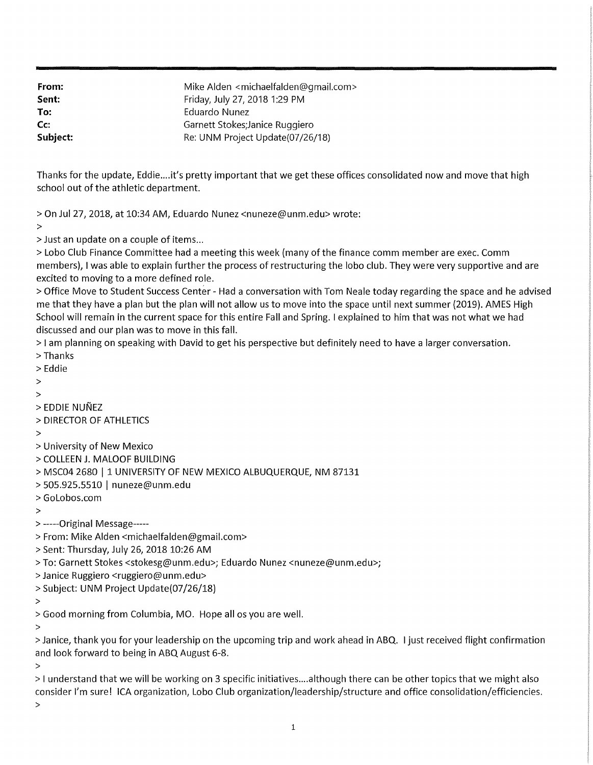**From: Sent:**  Mike Alden <michaelfalden@gmail.com> Friday, July 27, 2018 1:29 PM **To:** Eduardo Nunez **Cc: Garnett Stokes;Janice Ruggiero Subject:** Re: UNM Project Update(07/26/18)

Thanks for the update, Eddie .... it's pretty important that we get these offices consolidated now and move that high school out of the athletic department.

> On Jul 27, 2018, at 10:34 AM, Eduardo Nunez <nuneze@unm.edu> wrote:

>

> Just an update on a couple of items ...

> Lobo Club Finance Committee had a meeting this week (many of the finance comm member are exec. Comm members), I was able to explain further the process of restructuring the lobo club. They were very supportive and are excited to moving to a more defined role.

> Office Move to Student Success Center - Had a conversation with Tom Neale today regarding the space and he advised me that they have a plan but the plan will not allow us to move into the space until next summer (2019). AMES High School will remain in the current space for this entire Fall and Spring. I explained to him that was not what we had discussed and our plan was to move in this fall.

> I am planning on speaking with David to get his perspective but definitely need to have a larger conversation.

- > Thanks
- > Eddie
- $\rightarrow$
- $\mathbf{v}$
- > EDDIE NUNEZ
- > DIRECTOR OF ATHLETICS

>

- > University of New Mexico
- > COLLEEN J. MALOOF BUILDING
- > MSC04 2680 | 1 UNIVERSITY OF NEW MEXICO ALBUQUERQUE, NM 87131
- > 505.925.5510 I nuneze@unm.edu
- > GoLobos.com
- >

> -----Original Message-----

- > From: Mike Alden <michaelfalden@gmail.com>
- > Sent: Thursday, July 26, 2018 10:26 AM
- > To: Garnett Stokes <stokesg@unm.edu>; Eduardo Nunez <nuneze@unm.edu>;
- > Janice Ruggiero <ruggiero@unm.edu>
- > Subject: UNM Project Update(07 /26/18)
- >
- > Good morning from Columbia, MO. Hope all os you are well.
- >

> Janice, thank you for your leadership on the upcoming trip and work ahead in ABQ. I just received flight confirmation and look forward to being in ABQ August 6-8.

>

> I understand that we will be working on 3 specific initiatives .... although there can be other topics that we might also consider l 1 m sure! ICA organization, Lobo Club organization/leadership/structure and office consolidation/efficiencies.

>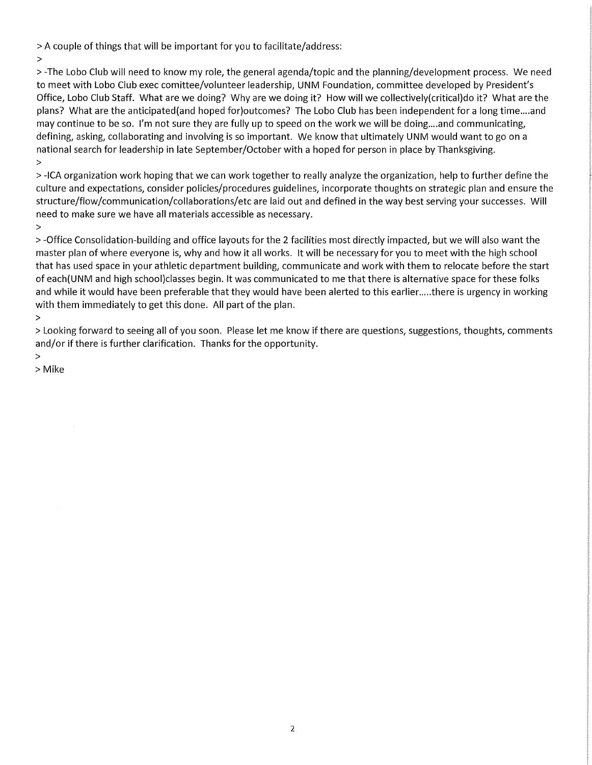> A couple of things that will be important for you to facilitate/address:

>

> -The Lobo Club will need to know my role, the general agenda/topic and the planning/development process. We need to meet with Lobo Club exec comittee/volunteer leadership, UNM Foundation, committee developed by President's Office, Lobo Club Staff. What are we doing? Why are we doing it? How will we collectively(critical)do it? What are the plans? What are the anticipated(and hoped for)outcomes? The Lobo Club has been independent for a long time .... and may continue to be so. I'm not sure they are fully up to speed on the work we will be doing….and communicating, defining, asking, collaborating and involving is so important. We know that ultimately UNM would want to go on a national search for leadership in late September/October with a hoped for person in place by Thanksgiving. >

> -ICA organization work hoping that we can work together to really analyze the organization, help to further define the culture and expectations, consider policies/procedures guidelines, incorporate thoughts on strategic plan and ensure the structure/flow/communication/collaborations/etc are laid out and defined in the way best serving your successes. Will need to make sure we have all materials accessible as necessary.

>

> -Office Consolidation-building and office layouts for the 2 facilities most directly impacted, but we will also want the master plan of where everyone is, why and how it all works. It will be necessary for you to meet with the high school that has used space in your athletic department building, communicate and work with them to relocate before the start of each(UNM and high school)classes begin. It was communicated to me that there is alternative space for these folks and while it would have been preferable that they would have been alerted to this earlier.....there is urgency in working with them immediately to get this done. All part of the plan.

> Looking forward to seeing all of you soon. Please let me know if there are questions, suggestions, thoughts, comments and/or if there is further clarification. Thanks for the opportunity.

>

> Mike

<sup>&</sup>gt;